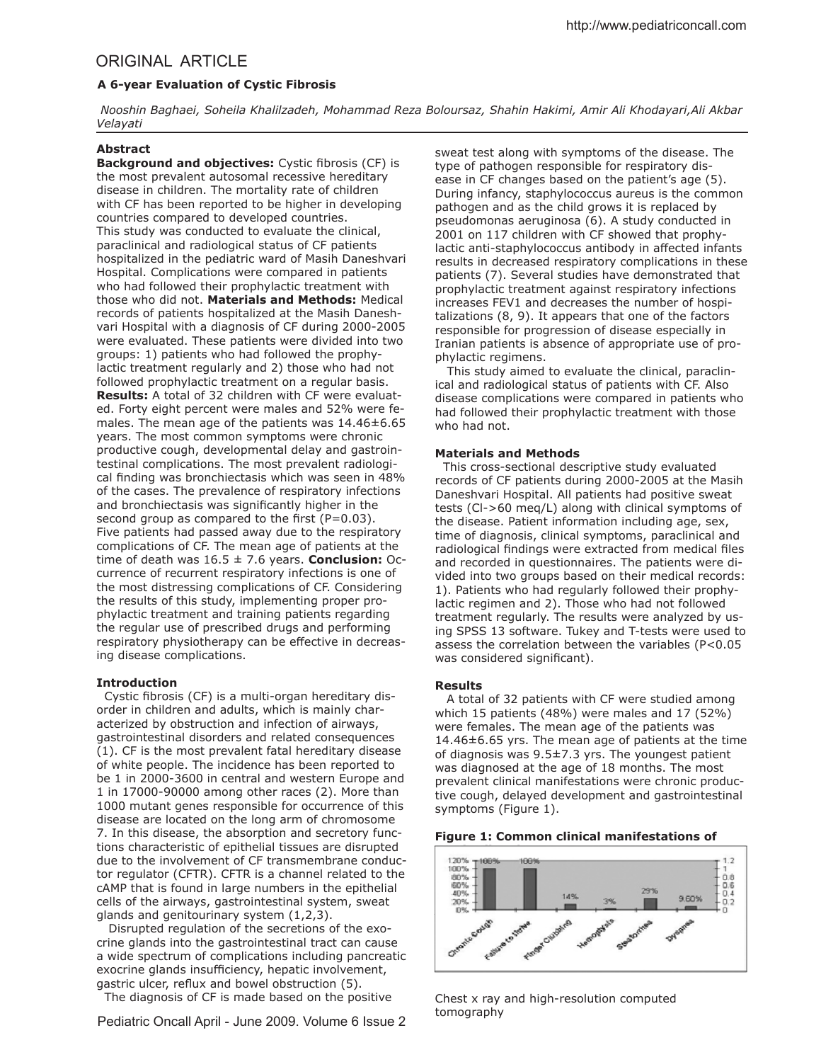# ORIGINAL ARTICLE

# **A 6-year Evaluation of Cystic Fibrosis**

 *Nooshin Baghaei, Soheila Khalilzadeh, Mohammad Reza Boloursaz, Shahin Hakimi, Amir Ali Khodayari,Ali Akbar Velayati*

# **Abstract**

**Background and objectives:** Cystic fibrosis (CF) is the most prevalent autosomal recessive hereditary disease in children. The mortality rate of children with CF has been reported to be higher in developing countries compared to developed countries. This study was conducted to evaluate the clinical, paraclinical and radiological status of CF patients hospitalized in the pediatric ward of Masih Daneshvari Hospital. Complications were compared in patients who had followed their prophylactic treatment with those who did not. **Materials and Methods:** Medical records of patients hospitalized at the Masih Daneshvari Hospital with a diagnosis of CF during 2000-2005 were evaluated. These patients were divided into two groups: 1) patients who had followed the prophylactic treatment regularly and 2) those who had not followed prophylactic treatment on a regular basis. **Results:** A total of 32 children with CF were evaluated. Forty eight percent were males and 52% were females. The mean age of the patients was  $14.46 \pm 6.65$ years. The most common symptoms were chronic productive cough, developmental delay and gastrointestinal complications. The most prevalent radiological finding was bronchiectasis which was seen in 48% of the cases. The prevalence of respiratory infections and bronchiectasis was significantly higher in the second group as compared to the first  $(P=0.03)$ . Five patients had passed away due to the respiratory complications of CF. The mean age of patients at the time of death was  $16.5 \pm 7.6$  years. **Conclusion:** Occurrence of recurrent respiratory infections is one of the most distressing complications of CF. Considering the results of this study, implementing proper prophylactic treatment and training patients regarding the regular use of prescribed drugs and performing respiratory physiotherapy can be efective in decreasing disease complications.

### **Introduction**

Cystic fibrosis (CF) is a multi-organ hereditary disorder in children and adults, which is mainly characterized by obstruction and infection of airways, gastrointestinal disorders and related consequences (1). CF is the most prevalent fatal hereditary disease of white people. The incidence has been reported to be 1 in 2000-3600 in central and western Europe and 1 in 17000-90000 among other races (2). More than 1000 mutant genes responsible for occurrence of this disease are located on the long arm of chromosome 7. In this disease, the absorption and secretory functions characteristic of epithelial tissues are disrupted due to the involvement of CF transmembrane conductor regulator (CFTR). CFTR is a channel related to the cAMP that is found in large numbers in the epithelial cells of the airways, gastrointestinal system, sweat glands and genitourinary system (1,2,3).

 Disrupted regulation of the secretions of the exocrine glands into the gastrointestinal tract can cause a wide spectrum of complications including pancreatic exocrine glands insufficiency, hepatic involvement, gastric ulcer, reflux and bowel obstruction (5). The diagnosis of CF is made based on the positive

Pediatric Oncall April - June 2009. Volume 6 Issue 2

sweat test along with symptoms of the disease. The type of pathogen responsible for respiratory disease in CF changes based on the patient's age (5). During infancy, staphylococcus aureus is the common pathogen and as the child grows it is replaced by pseudomonas aeruginosa (6). A study conducted in 2001 on 117 children with CF showed that prophylactic anti-staphylococcus antibody in afected infants results in decreased respiratory complications in these patients (7). Several studies have demonstrated that prophylactic treatment against respiratory infections increases FEV1 and decreases the number of hospitalizations (8, 9). It appears that one of the factors responsible for progression of disease especially in Iranian patients is absence of appropriate use of prophylactic regimens.

 This study aimed to evaluate the clinical, paraclinical and radiological status of patients with CF. Also disease complications were compared in patients who had followed their prophylactic treatment with those who had not.

### **Materials and Methods**

 This cross-sectional descriptive study evaluated records of CF patients during 2000-2005 at the Masih Daneshvari Hospital. All patients had positive sweat tests (Cl->60 meq/L) along with clinical symptoms of the disease. Patient information including age, sex, time of diagnosis, clinical symptoms, paraclinical and radiological findings were extracted from medical files and recorded in questionnaires. The patients were divided into two groups based on their medical records: 1). Patients who had regularly followed their prophylactic regimen and 2). Those who had not followed treatment regularly. The results were analyzed by using SPSS 13 software. Tukey and T-tests were used to assess the correlation between the variables (P<0.05 was considered significant).

#### **Results**

A total of 32 patients with CF were studied among which 15 patients (48%) were males and 17 (52%) were females. The mean age of the patients was 14.46±6.65 yrs. The mean age of patients at the time of diagnosis was 9.5±7.3 yrs. The youngest patient was diagnosed at the age of 18 months. The most prevalent clinical manifestations were chronic productive cough, delayed development and gastrointestinal symptoms (Figure 1).

### **Figure 1: Common clinical manifestations of**



Chest x ray and high-resolution computed tomography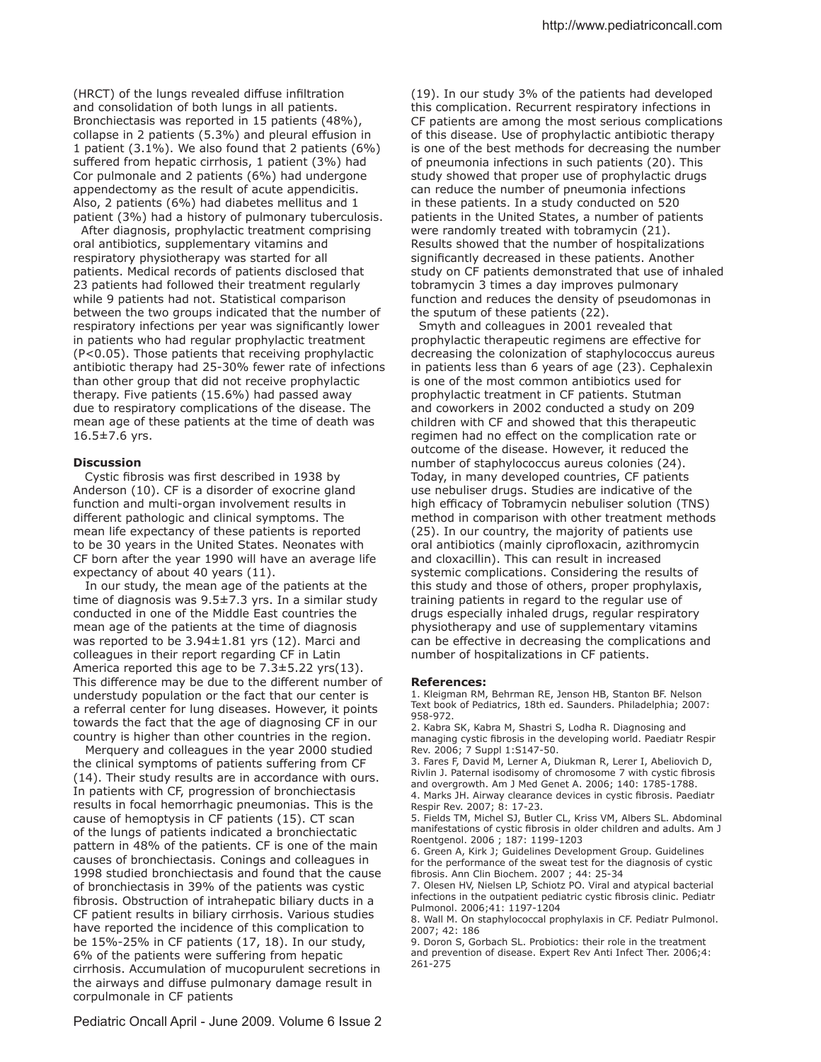(HRCT) of the lungs revealed diffuse infiltration and consolidation of both lungs in all patients. Bronchiectasis was reported in 15 patients (48%), collapse in 2 patients (5.3%) and pleural effusion in 1 patient (3.1%). We also found that 2 patients (6%) suffered from hepatic cirrhosis, 1 patient (3%) had Cor pulmonale and 2 patients (6%) had undergone appendectomy as the result of acute appendicitis. Also, 2 patients (6%) had diabetes mellitus and 1 patient (3%) had a history of pulmonary tuberculosis.

 After diagnosis, prophylactic treatment comprising oral antibiotics, supplementary vitamins and respiratory physiotherapy was started for all patients. Medical records of patients disclosed that 23 patients had followed their treatment regularly while 9 patients had not. Statistical comparison between the two groups indicated that the number of respiratory infections per year was significantly lower in patients who had regular prophylactic treatment (P<0.05). Those patients that receiving prophylactic antibiotic therapy had 25-30% fewer rate of infections than other group that did not receive prophylactic therapy. Five patients (15.6%) had passed away due to respiratory complications of the disease. The mean age of these patients at the time of death was 16.5±7.6 yrs.

## **Discussion**

Cystic fibrosis was first described in 1938 by Anderson (10). CF is a disorder of exocrine gland function and multi-organ involvement results in diferent pathologic and clinical symptoms. The mean life expectancy of these patients is reported to be 30 years in the United States. Neonates with CF born after the year 1990 will have an average life expectancy of about 40 years (11).

 In our study, the mean age of the patients at the time of diagnosis was  $9.5\pm7.3$  yrs. In a similar study conducted in one of the Middle East countries the mean age of the patients at the time of diagnosis was reported to be 3.94±1.81 yrs (12). Marci and colleagues in their report regarding CF in Latin America reported this age to be 7.3±5.22 yrs(13). This diference may be due to the diferent number of understudy population or the fact that our center is a referral center for lung diseases. However, it points towards the fact that the age of diagnosing CF in our country is higher than other countries in the region.

 Merquery and colleagues in the year 2000 studied the clinical symptoms of patients sufering from CF (14). Their study results are in accordance with ours. In patients with CF, progression of bronchiectasis results in focal hemorrhagic pneumonias. This is the cause of hemoptysis in CF patients (15). CT scan of the lungs of patients indicated a bronchiectatic pattern in 48% of the patients. CF is one of the main causes of bronchiectasis. Conings and colleagues in 1998 studied bronchiectasis and found that the cause of bronchiectasis in 39% of the patients was cystic fibrosis. Obstruction of intrahepatic biliary ducts in a CF patient results in biliary cirrhosis. Various studies have reported the incidence of this complication to be 15%-25% in CF patients (17, 18). In our study, 6% of the patients were sufering from hepatic cirrhosis. Accumulation of mucopurulent secretions in the airways and difuse pulmonary damage result in corpulmonale in CF patients

(19). In our study 3% of the patients had developed this complication. Recurrent respiratory infections in CF patients are among the most serious complications of this disease. Use of prophylactic antibiotic therapy is one of the best methods for decreasing the number of pneumonia infections in such patients (20). This study showed that proper use of prophylactic drugs can reduce the number of pneumonia infections in these patients. In a study conducted on 520 patients in the United States, a number of patients were randomly treated with tobramycin (21). Results showed that the number of hospitalizations significantly decreased in these patients. Another study on CF patients demonstrated that use of inhaled tobramycin 3 times a day improves pulmonary function and reduces the density of pseudomonas in the sputum of these patients (22).

 Smyth and colleagues in 2001 revealed that prophylactic therapeutic regimens are efective for decreasing the colonization of staphylococcus aureus in patients less than 6 years of age (23). Cephalexin is one of the most common antibiotics used for prophylactic treatment in CF patients. Stutman and coworkers in 2002 conducted a study on 209 children with CF and showed that this therapeutic regimen had no efect on the complication rate or outcome of the disease. However, it reduced the number of staphylococcus aureus colonies (24). Today, in many developed countries, CF patients use nebuliser drugs. Studies are indicative of the high efficacy of Tobramycin nebuliser solution (TNS) method in comparison with other treatment methods (25). In our country, the majority of patients use oral antibiotics (mainly ciprofloxacin, azithromycin and cloxacillin). This can result in increased systemic complications. Considering the results of this study and those of others, proper prophylaxis, training patients in regard to the regular use of drugs especially inhaled drugs, regular respiratory physiotherapy and use of supplementary vitamins can be efective in decreasing the complications and number of hospitalizations in CF patients.

#### **References:**

1. Kleigman RM, Behrman RE, Jenson HB, Stanton BF. Nelson Text book of Pediatrics, 18th ed. Saunders. Philadelphia; 2007: 958-972.

2. Kabra SK, Kabra M, Shastri S, Lodha R. Diagnosing and managing cystic fibrosis in the developing world. Paediatr Respir Rev. 2006; 7 Suppl 1:S147-50.

3. Fares F, David M, Lerner A, Diukman R, Lerer I, Abeliovich D, Rivlin J. Paternal isodisomy of chromosome 7 with cystic fibrosis and overgrowth. Am J Med Genet A. 2006; 140: 1785-1788. 4. Marks JH. Airway clearance devices in cystic fibrosis. Paediatr Respir Rev. 2007; 8: 17-23.

5. Fields TM, Michel SJ, Butler CL, Kriss VM, Albers SL. Abdominal manifestations of cystic fibrosis in older children and adults. Am J Roentgenol. 2006 ; 187: 1199-1203

6. Green A, Kirk J; Guidelines Development Group. Guidelines for the performance of the sweat test for the diagnosis of cystic ibrosis. Ann Clin Biochem. 2007 ; 44: 25-34

7. Olesen HV, Nielsen LP, Schiotz PO. Viral and atypical bacterial infections in the outpatient pediatric cystic fibrosis clinic. Pediatr Pulmonol. 2006;41: 1197-1204

8. Wall M. On staphylococcal prophylaxis in CF. Pediatr Pulmonol. 2007; 42: 186

9. Doron S, Gorbach SL. Probiotics: their role in the treatment and prevention of disease. Expert Rev Anti Infect Ther. 2006;4: 261-275